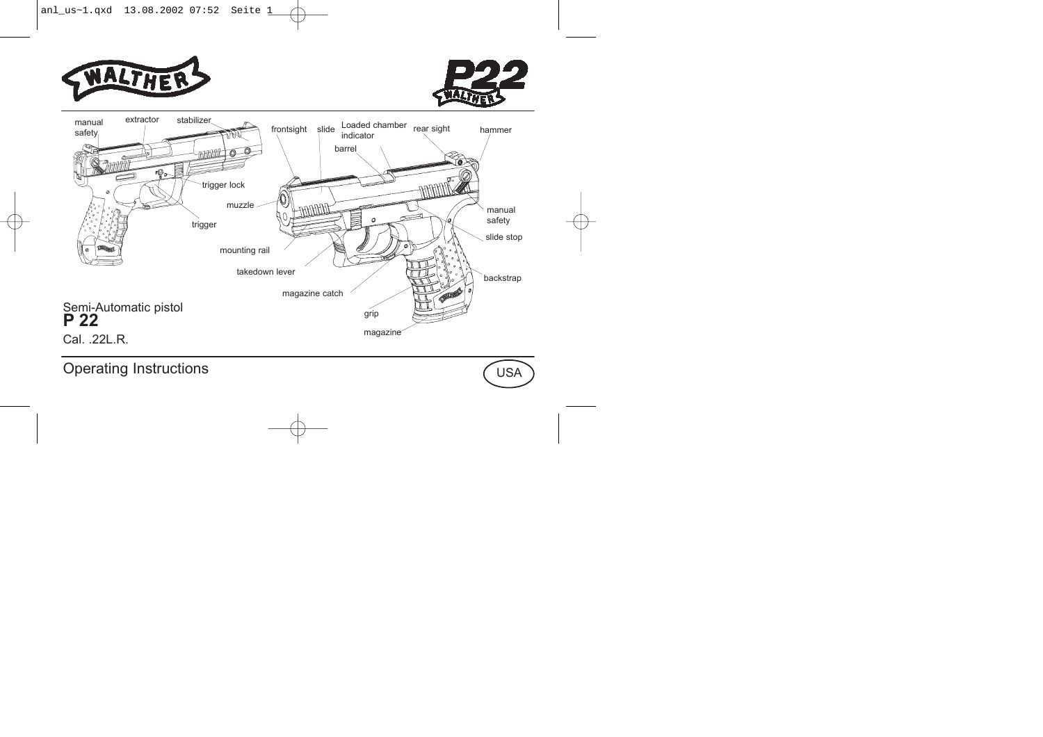





Operating Instructions

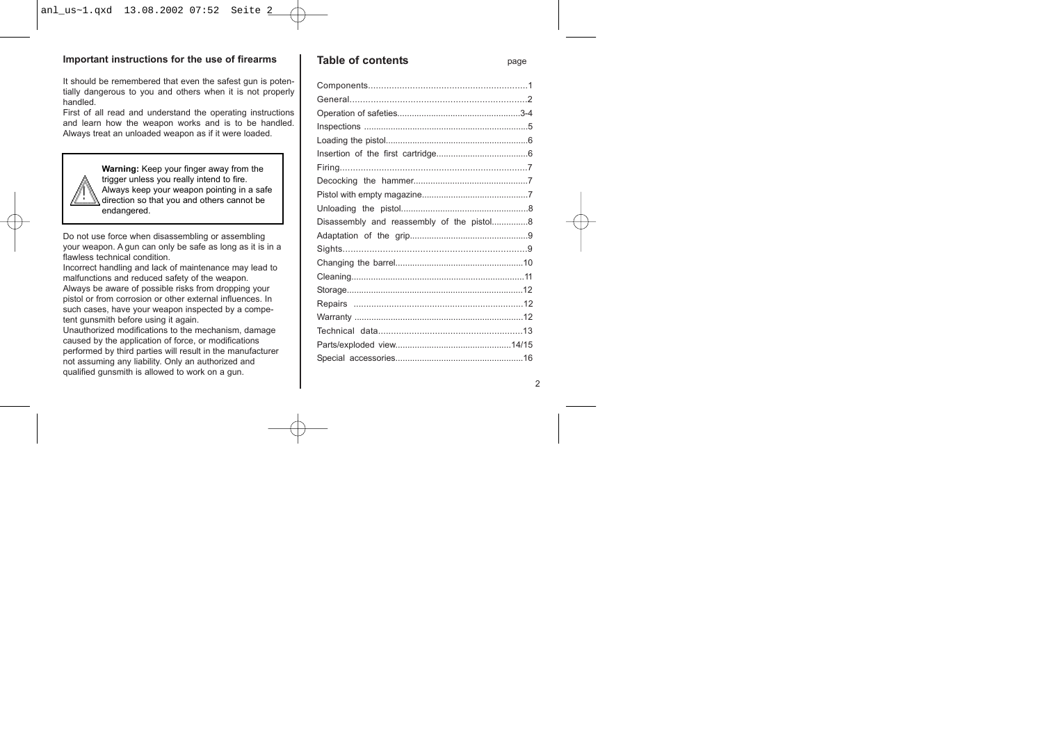#### **Important instructions for the use of firearms**

It should be remembered that even the safest gun is potentially dangerous to you and others when it is not properly handled.

First of all read and understand the operating instructions and learn how the weapon works and is to be handled. Always treat an unloaded weapon as if it were loaded.



**Warning:** Keep your finger away from the trigger unless you really intend to fire. Always keep your weapon pointing in a safe direction so that you and others cannot be endangered.

Do not use force when disassembling or assembling your weapon. A gun can only be safe as long as it is in a flawless technical condition.

Incorrect handling and lack of maintenance may lead to malfunctions and reduced safety of the weapon. Always be aware of possible risks from dropping your pistol or from corrosion or other external influences. In such cases, have your weapon inspected by a competent gunsmith before using it again.

Unauthorized modifications to the mechanism, damage caused by the application of force, or modifications performed by third parties will result in the manufacturer not assuming any liability. Only an authorized and qualified gunsmith is allowed to work on a gun.

#### **Table of contents** page

| Disassembly and reassembly of the pistol8 |  |
|-------------------------------------------|--|
|                                           |  |
|                                           |  |
|                                           |  |
|                                           |  |
|                                           |  |
|                                           |  |
|                                           |  |
|                                           |  |
|                                           |  |
|                                           |  |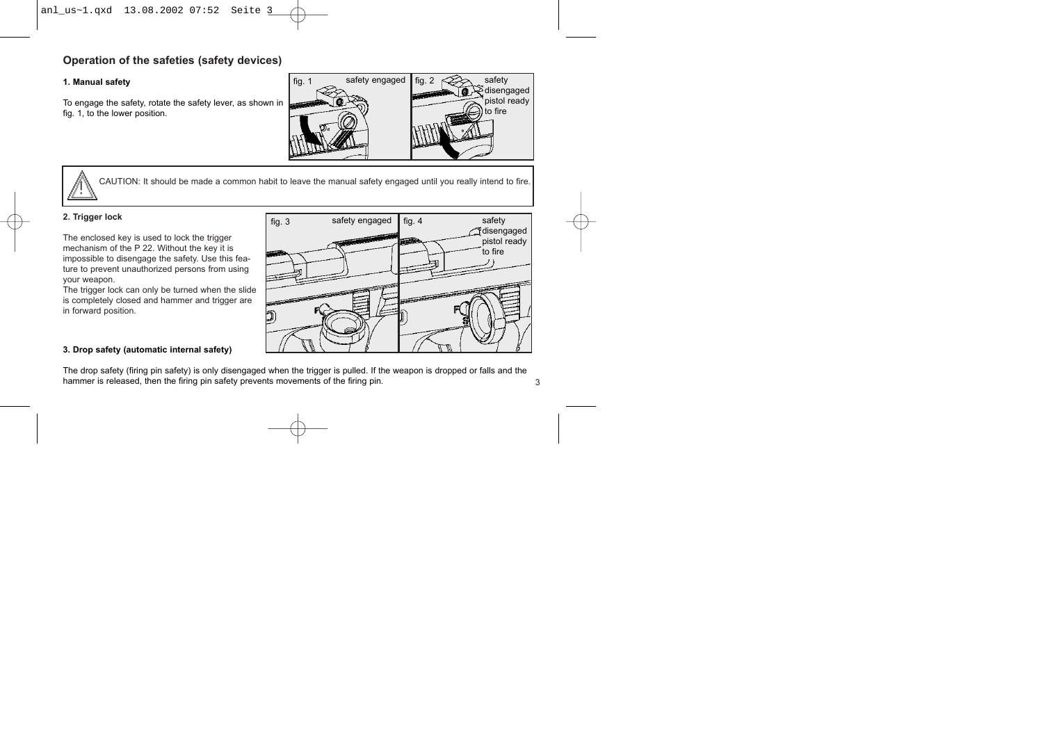## **Operation of the safeties (safety devices)**

#### **1. Manual safety**

To engage the safety, rotate the safety lever, as shown in fig. 1, to the lower position.



CAUTION: It should be made a common habit to leave the manual safety engaged until you really intend to fire.

#### **2. Trigger lock**

The enclosed key is used to lock the trigger mechanism of the P 22. Without the key it is impossible to disengage the safety. Use this feature to prevent unauthorized persons from using your weapon.

The trigger lock can only be turned when the slide is completely closed and hammer and trigger are in forward position.

# fig. 3 safety engaged fig. 4 safety disengaged pistol ready to fire

3

#### **3. Drop safety (automatic internal safety)**

The drop safety (firing pin safety) is only disengaged when the trigger is pulled. If the weapon is dropped or falls and the hammer is released, then the firing pin safety prevents movements of the firing pin.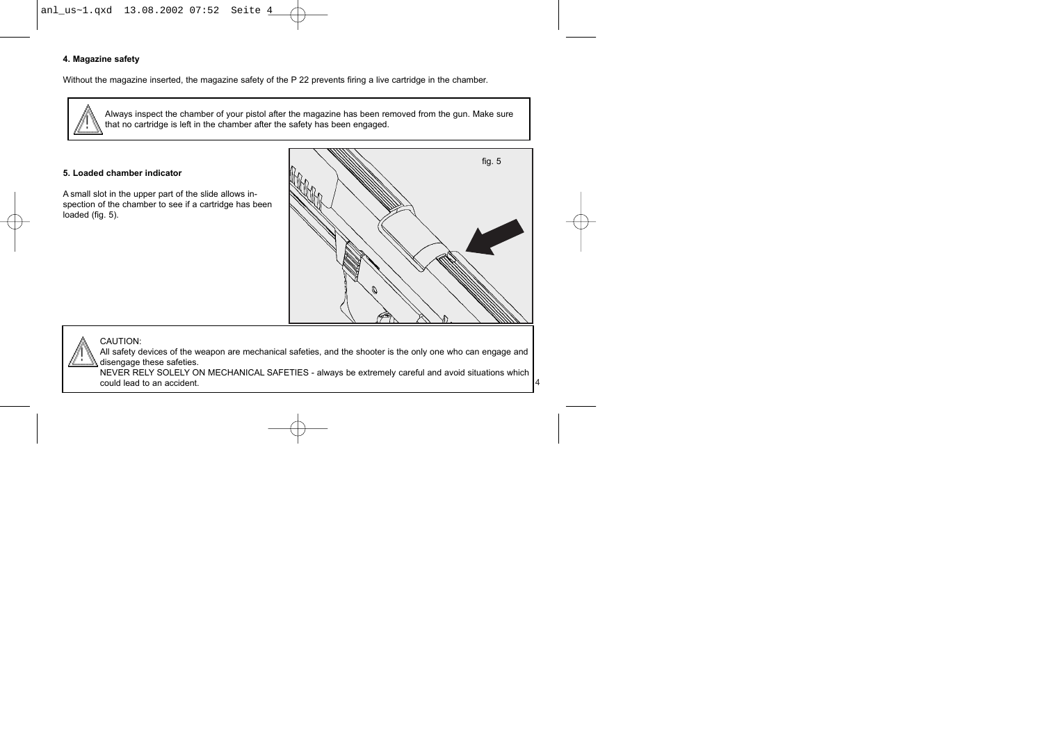

#### **4. Magazine safety**

Without the magazine inserted, the magazine safety of the P 22 prevents firing a live cartridge in the chamber.

Always inspect the chamber of your pistol after the magazine has been removed from the gun. Make sure that no cartridge is left in the chamber after the safety has been engaged.

#### **5. Loaded chamber indicator**

A small slot in the upper part of the slide allows inspection of the chamber to see if a cartridge has been loaded (fig. 5).



4

#### CAUTION:

All safety devices of the weapon are mechanical safeties, and the shooter is the only one who can engage and disengage these safeties.

NEVER RELY SOLELY ON MECHANICAL SAFETIES - always be extremely careful and avoid situations which could lead to an accident.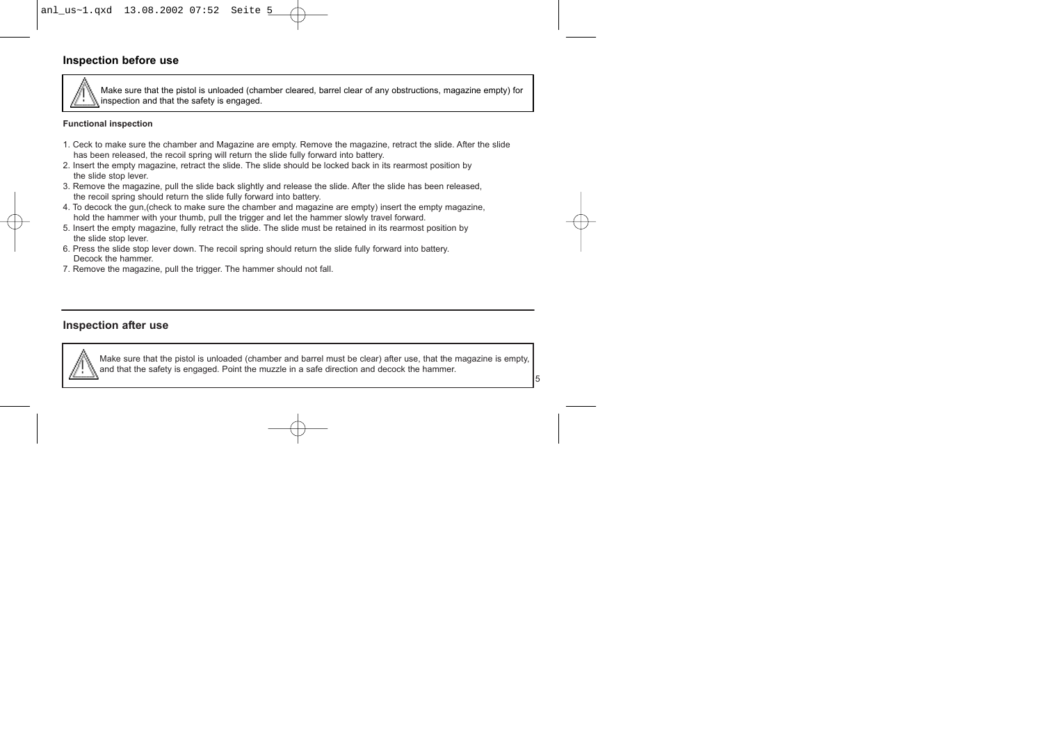## **Inspection before use**

Make sure that the pistol is unloaded (chamber cleared, barrel clear of any obstructions, magazine empty) for inspection and that the safety is engaged.

#### **Functional inspection**

- 1. Ceck to make sure the chamber and Magazine are empty. Remove the magazine, retract the slide. After the slide has been released, the recoil spring will return the slide fully forward into battery.
- 2. Insert the empty magazine, retract the slide. The slide should be locked back in its rearmost position by the slide stop lever.
- 3. Remove the magazine, pull the slide back slightly and release the slide. After the slide has been released, the recoil spring should return the slide fully forward into battery.
- 4. To decock the gun,(check to make sure the chamber and magazine are empty) insert the empty magazine, hold the hammer with your thumb, pull the trigger and let the hammer slowly travel forward.
- 5. Insert the empty magazine, fully retract the slide. The slide must be retained in its rearmost position by the slide stop lever.
- 6. Press the slide stop lever down. The recoil spring should return the slide fully forward into battery. Decock the hammer.
- 7. Remove the magazine, pull the trigger. The hammer should not fall.

#### **Inspection after use**



Make sure that the pistol is unloaded (chamber and barrel must be clear) after use, that the magazine is empty, and that the safety is engaged. Point the muzzle in a safe direction and decock the hammer.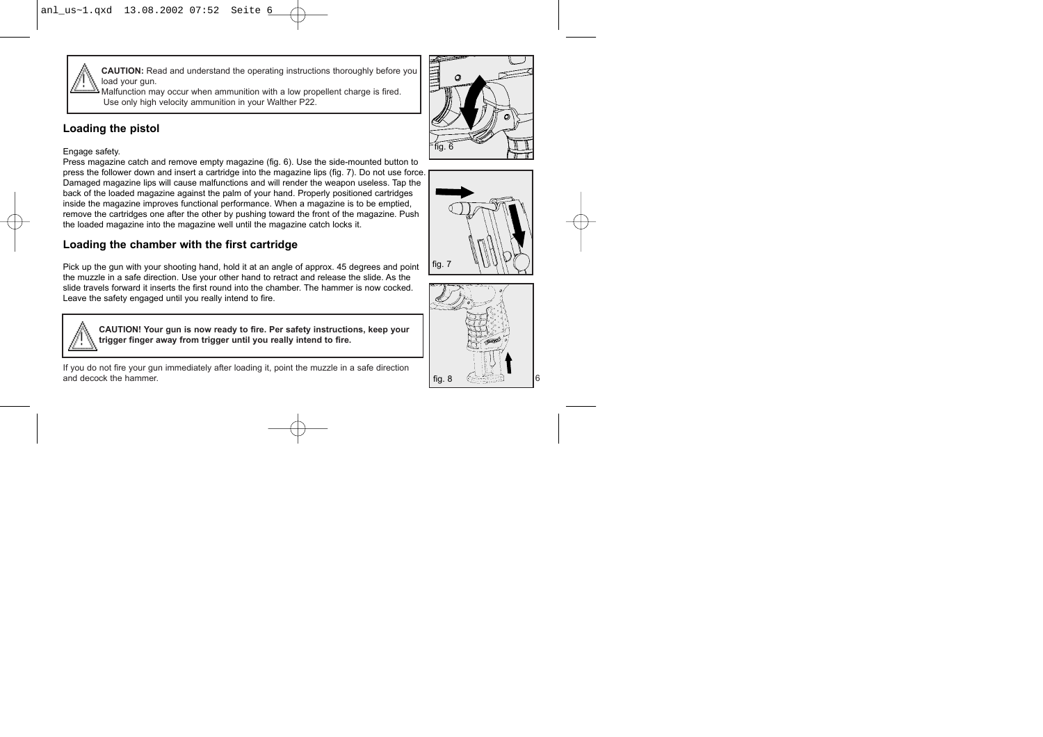**CAUTION:** Read and understand the operating instructions thoroughly before you load your gun.

Malfunction may occur when ammunition with a low propellent charge is fired. Use only high velocity ammunition in your Walther P22.

## **Loading the pistol**

#### Engage safety.

Press magazine catch and remove empty magazine (fig. 6). Use the side-mounted button to press the follower down and insert a cartridge into the magazine lips (fig. 7). Do not use force. Damaged magazine lips will cause malfunctions and will render the weapon useless. Tap the back of the loaded magazine against the palm of your hand. Properly positioned cartridges inside the magazine improves functional performance. When a magazine is to be emptied, remove the cartridges one after the other by pushing toward the front of the magazine. Push the loaded magazine into the magazine well until the magazine catch locks it.

## **Loading the chamber with the first cartridge**

Pick up the gun with your shooting hand, hold it at an angle of approx. 45 degrees and point the muzzle in a safe direction. Use your other hand to retract and release the slide. As the slide travels forward it inserts the first round into the chamber. The hammer is now cocked. Leave the safety engaged until you really intend to fire.



**CAUTION! Your gun is now ready to fire. Per safety instructions, keep your trigger finger away from trigger until you really intend to fire.**

If you do not fire your gun immediately after loading it, point the muzzle in a safe direction and decock the hammer.





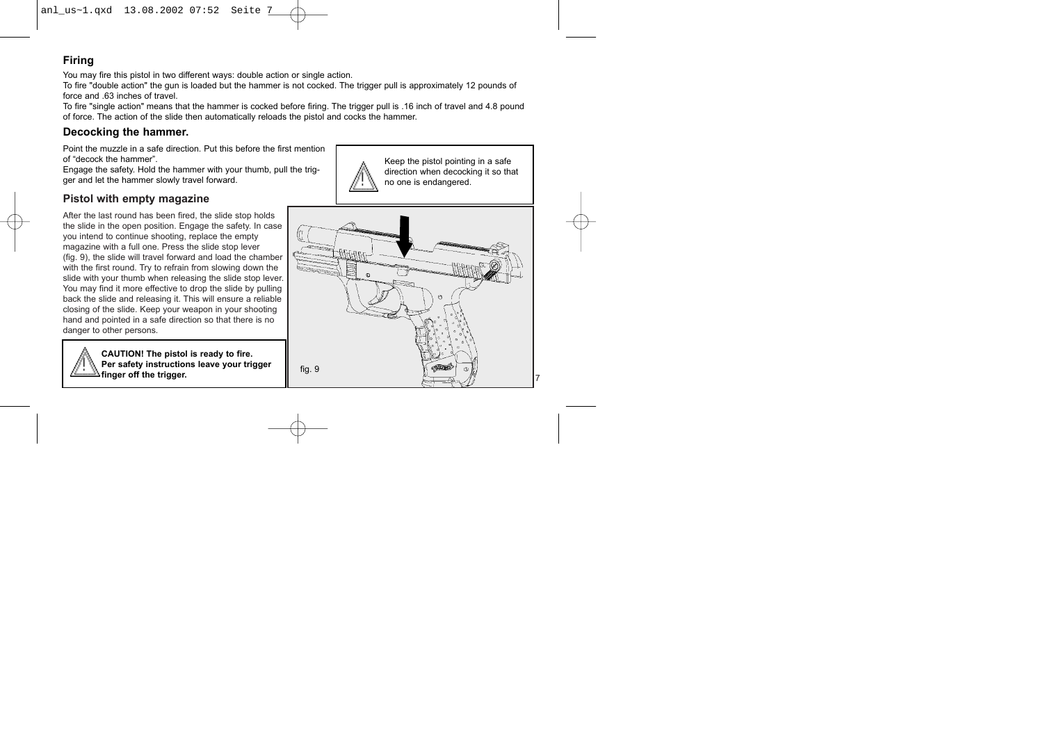## **Firing**

You may fire this pistol in two different ways: double action or single action.

To fire "double action" the gun is loaded but the hammer is not cocked. The trigger pull is approximately 12 pounds of force and .63 inches of travel

To fire "single action" means that the hammer is cocked before firing. The trigger pull is .16 inch of travel and 4.8 pound of force. The action of the slide then automatically reloads the pistol and cocks the hammer.

## **Decocking the hammer.**

Point the muzzle in a safe direction. Put this before the first mention of "decock the hammer".

Engage the safety. Hold the hammer with your thumb, pull the trigger and let the hammer slowly travel forward.

## **Pistol with empty magazine**

After the last round has been fired, the slide stop holds the slide in the open position. Engage the safety. In case you intend to continue shooting, replace the empty magazine with a full one. Press the slide stop lever (fig. 9), the slide will travel forward and load the chamber with the first round. Try to refrain from slowing down the slide with your thumb when releasing the slide stop lever. You may find it more effective to drop the slide by pulling back the slide and releasing it. This will ensure a reliable closing of the slide. Keep your weapon in your shooting hand and pointed in a safe direction so that there is no danger to other persons.

> **CAUTION! The pistol is ready to fire. Per safety instructions leave your trigger finger off the trigger.**



Keep the pistol pointing in a safe direction when decocking it so that no one is endangered.

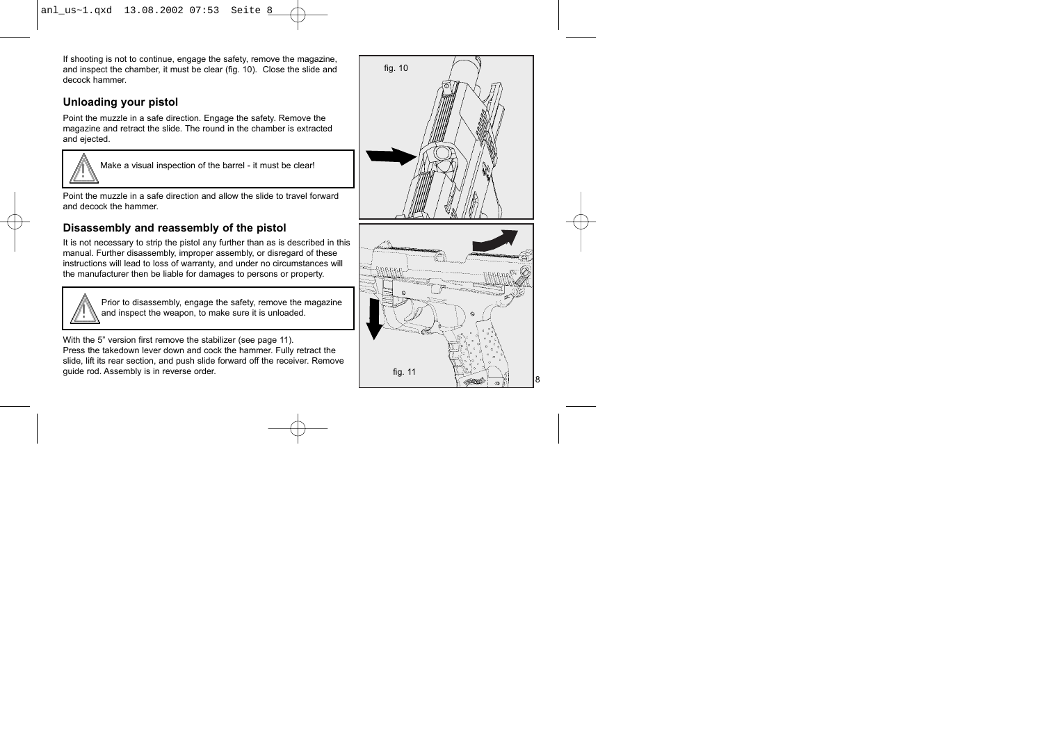If shooting is not to continue, engage the safety, remove the magazine, and inspect the chamber, it must be clear (fig. 10). Close the slide and decock hammer.

## **Unloading your pistol**

Point the muzzle in a safe direction. Engage the safety. Remove the magazine and retract the slide. The round in the chamber is extracted and ejected.



Make a visual inspection of the barrel - it must be clear!

Point the muzzle in a safe direction and allow the slide to travel forward and decock the hammer.

## **Disassembly and reassembly of the pistol**

It is not necessary to strip the pistol any further than as is described in this manual. Further disassembly, improper assembly, or disregard of these instructions will lead to loss of warranty, and under no circumstances will the manufacturer then be liable for damages to persons or property.



Prior to disassembly, engage the safety, remove the magazine and inspect the weapon, to make sure it is unloaded.

With the 5" version first remove the stabilizer (see page 11). Press the takedown lever down and cock the hammer. Fully retract the slide, lift its rear section, and push slide forward off the receiver. Remove guide rod. Assembly is in reverse order.

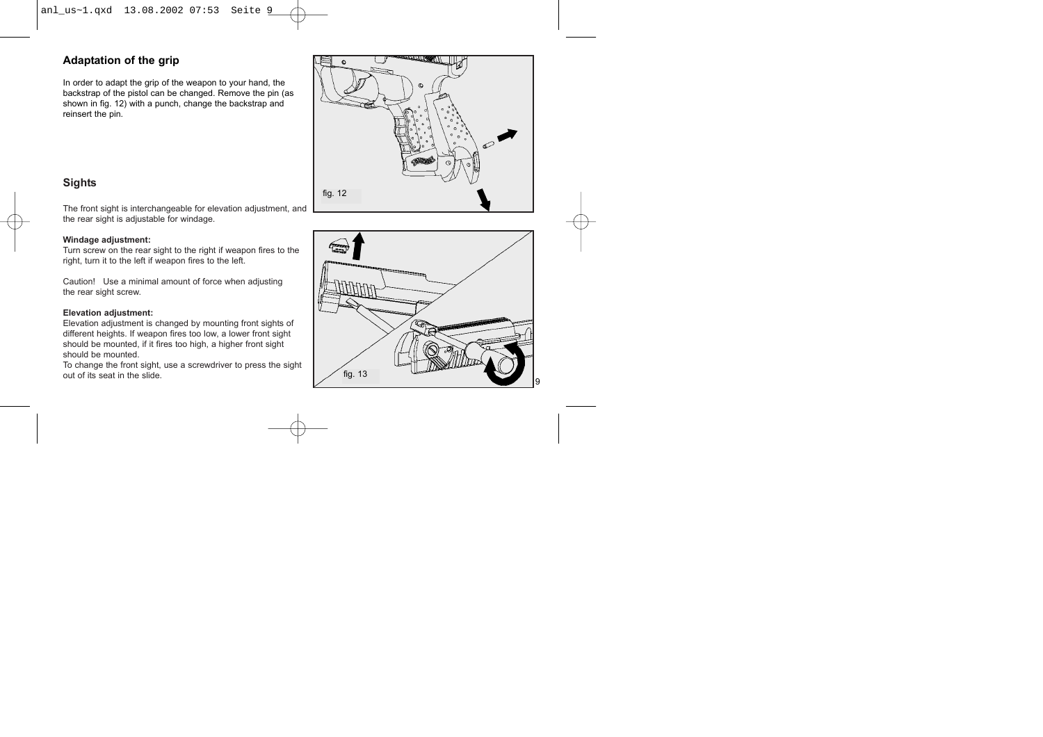#### **Adaptation of the grip**

In order to adapt the grip of the weapon to your hand, the backstrap of the pistol can be changed. Remove the pin (as shown in fig. 12) with a punch, change the backstrap and reinsert the pin.



#### **Sights**

The front sight is interchangeable for elevation adjustment, and the rear sight is adjustable for windage.

#### **Windage adjustment:**

Turn screw on the rear sight to the right if weapon fires to the right, turn it to the left if weapon fires to the left.

Caution! Use a minimal amount of force when adjusting the rear sight screw.

#### **Elevation adjustment:**

Elevation adjustment is changed by mounting front sights of different heights. If weapon fires too low, a lower front sight should be mounted, if it fires too high, a higher front sight should be mounted.

To change the front sight, use a screwdriver to press the sight out of its seat in the slide.

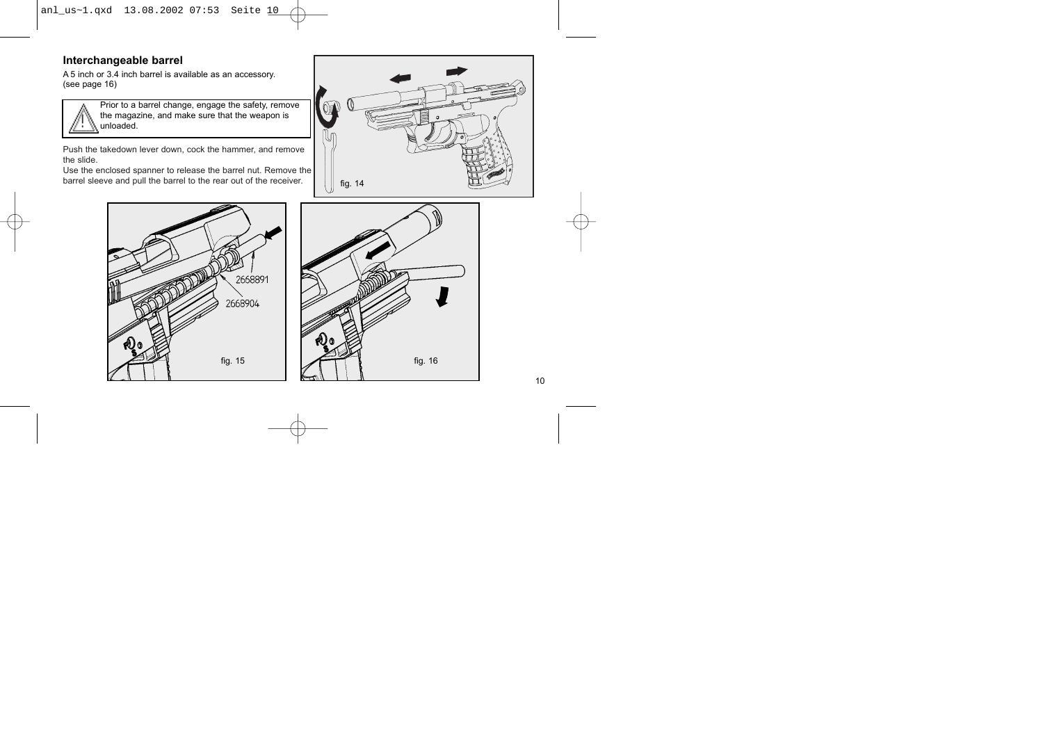anl\_us~1.qxd 13.08.2002 07:53 Seite 10

#### **Interchangeable barrel**

A 5 inch or 3.4 inch barrel is available as an accessory. (see page 16)



Prior to a barrel change, engage the safety, remove the magazine, and make sure that the weapon is unloaded.

Push the takedown lever down, cock the hammer, and remove the slide.

Use the enclosed spanner to release the barrel nut. Remove the barrel sleeve and pull the barrel to the rear out of the receiver.  $\|\cdot\|_{\text{fig. 14}}$ 





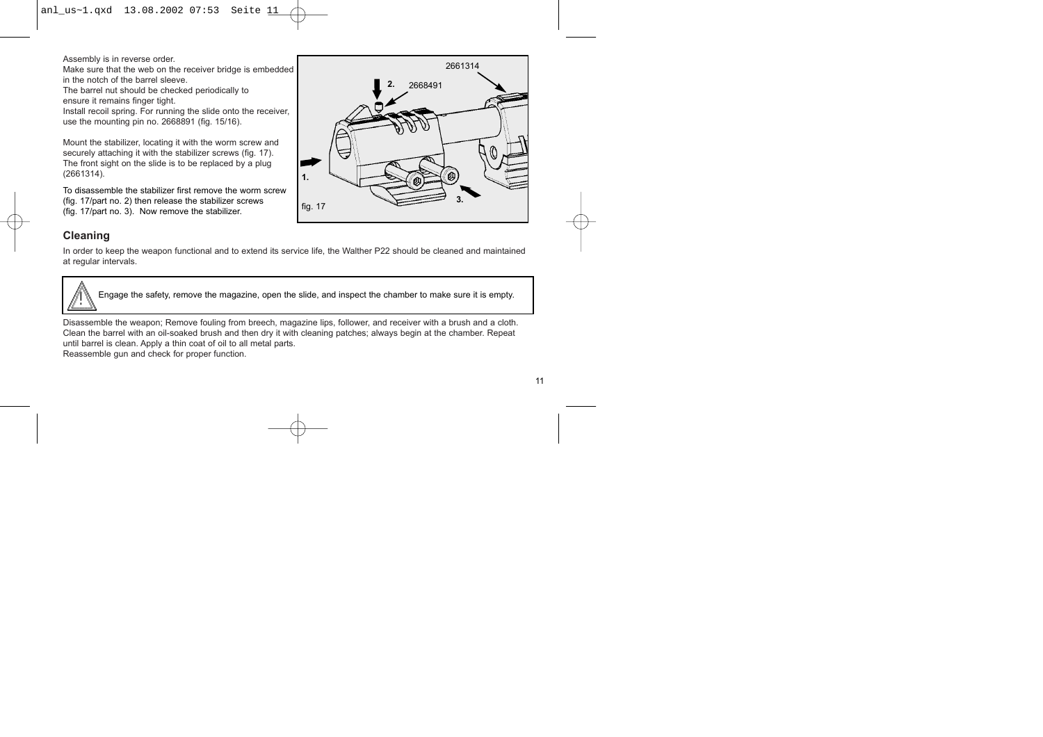Assembly is in reverse order.

Make sure that the web on the receiver bridge is embedded in the notch of the barrel sleeve.

The barrel nut should be checked periodically to ensure it remains finger tight.

Install recoil spring. For running the slide onto the receiver, use the mounting pin no. 2668891 (fig. 15/16).

Mount the stabilizer, locating it with the worm screw and securely attaching it with the stabilizer screws (fig. 17). The front sight on the slide is to be replaced by a plug (2661314). **1.**

To disassemble the stabilizer first remove the worm screw (fig. 17/part no. 2) then release the stabilizer screws (fig. 17/part no. 3). Now remove the stabilizer.



## **Cleaning**

In order to keep the weapon functional and to extend its service life, the Walther P22 should be cleaned and maintained at regular intervals.



Engage the safety, remove the magazine, open the slide, and inspect the chamber to make sure it is empty.

Disassemble the weapon; Remove fouling from breech, magazine lips, follower, and receiver with a brush and a cloth. Clean the barrel with an oil-soaked brush and then dry it with cleaning patches; always begin at the chamber. Repeat until barrel is clean. Apply a thin coat of oil to all metal parts. Reassemble gun and check for proper function.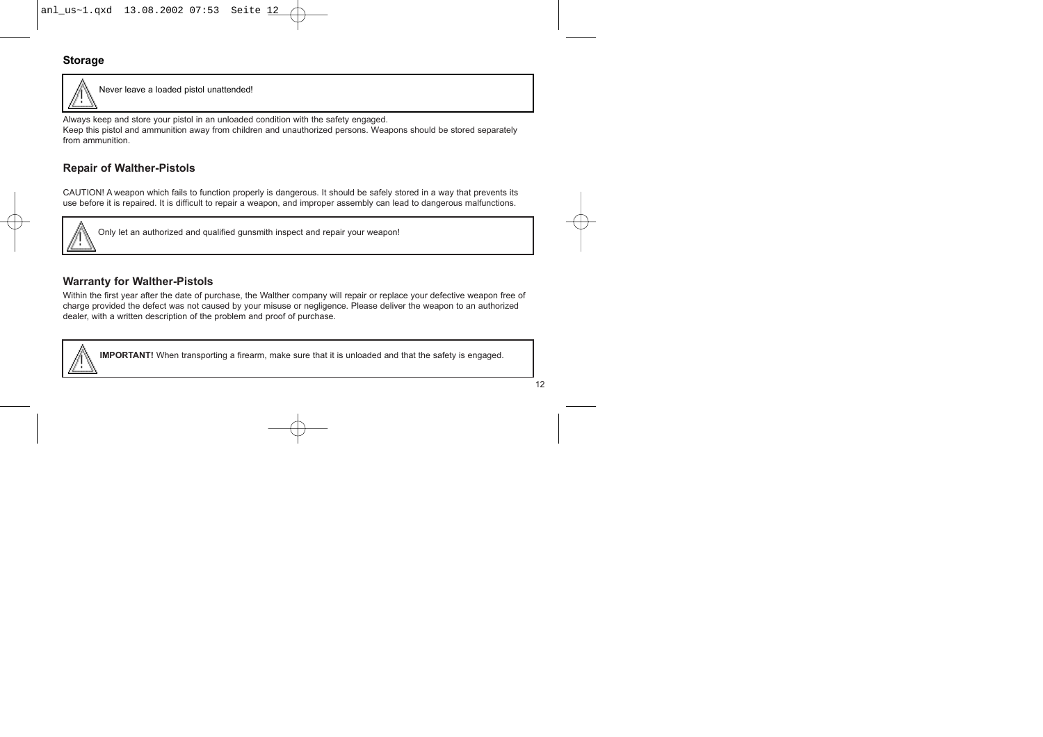## **Storage**



Never leave a loaded pistol unattended!

Always keep and store your pistol in an unloaded condition with the safety engaged.

Keep this pistol and ammunition away from children and unauthorized persons. Weapons should be stored separately from ammunition.

### **Repair of Walther-Pistols**

CAUTION! A weapon which fails to function properly is dangerous. It should be safely stored in a way that prevents its use before it is repaired. It is difficult to repair a weapon, and improper assembly can lead to dangerous malfunctions.



Only let an authorized and qualified gunsmith inspect and repair your weapon!

#### **Warranty for Walther-Pistols**

Within the first year after the date of purchase, the Walther company will repair or replace your defective weapon free of charge provided the defect was not caused by your misuse or negligence. Please deliver the weapon to an authorized dealer, with a written description of the problem and proof of purchase.



**IMPORTANT!** When transporting a firearm, make sure that it is unloaded and that the safety is engaged.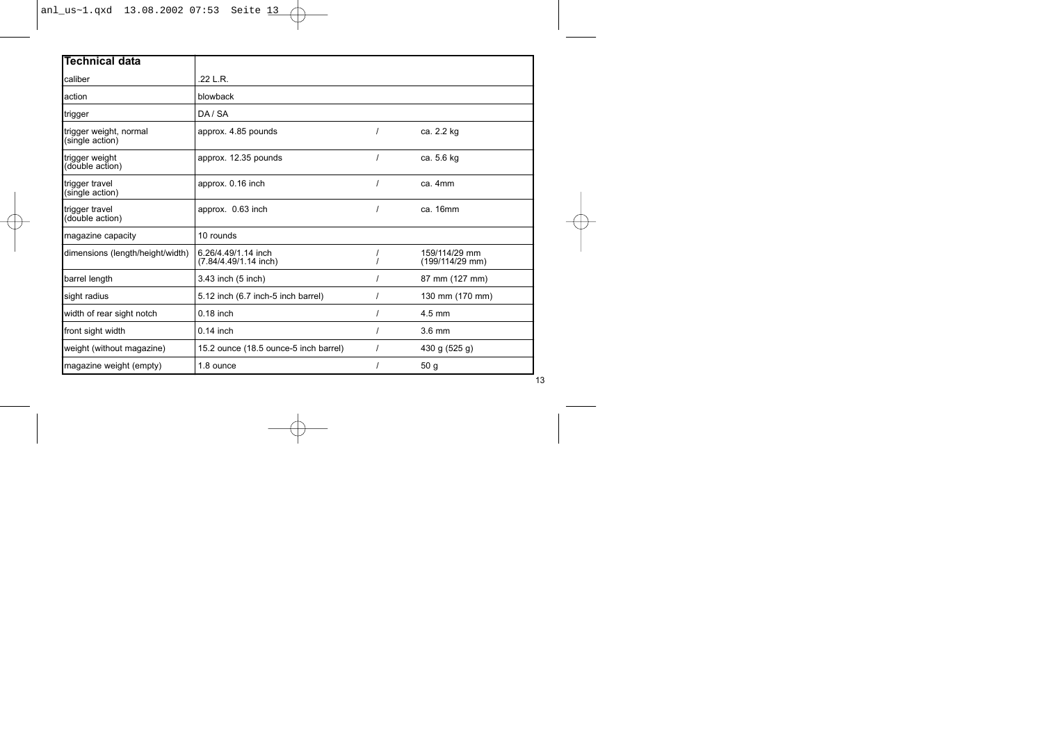## anl\_us~1.qxd 13.08.2002 07:53 Seite 13 (1)

| <b>Technical data</b>                     |                                              |                                  |
|-------------------------------------------|----------------------------------------------|----------------------------------|
| caliber                                   | .22 L.R.                                     |                                  |
| action                                    | blowback                                     |                                  |
| trigger                                   | DA/SA                                        |                                  |
| trigger weight, normal<br>(single action) | approx. 4.85 pounds                          | ca. 2.2 kg                       |
| trigger weight<br>(double action)         | approx. 12.35 pounds                         | ca. 5.6 kg                       |
| trigger travel<br>(single action)         | approx. 0.16 inch                            | ca. 4mm                          |
| trigger travel<br>(double action)         | approx. 0.63 inch                            | ca. 16mm                         |
| magazine capacity                         | 10 rounds                                    |                                  |
| dimensions (length/height/width)          | 6.26/4.49/1.14 inch<br>(7.84/4.49/1.14 inch) | 159/114/29 mm<br>(199/114/29 mm) |
| barrel length                             | 3.43 inch (5 inch)                           | 87 mm (127 mm)                   |
| sight radius                              | 5.12 inch (6.7 inch-5 inch barrel)           | 130 mm (170 mm)                  |
| width of rear sight notch                 | $0.18$ inch                                  | $4.5$ mm                         |
| front sight width                         | $0.14$ inch                                  | 3.6 mm                           |
| weight (without magazine)                 | 15.2 ounce (18.5 ounce-5 inch barrel)        | 430 g (525 g)                    |
| magazine weight (empty)                   | 1.8 ounce                                    | 50q                              |

 $\overline{13}$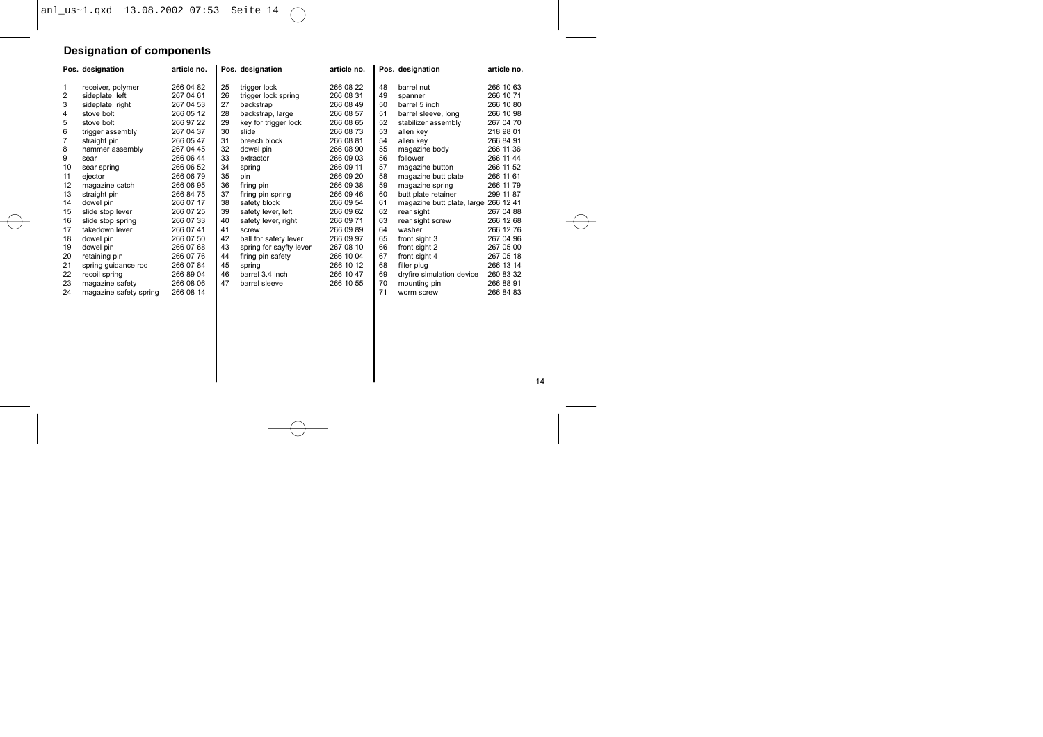## **Designation of components**

|    | Pos. designation       | article no. |    | Pos. designation        | article no. |    | Pos. designation           | article no. |
|----|------------------------|-------------|----|-------------------------|-------------|----|----------------------------|-------------|
| 1  | receiver, polymer      | 266 04 82   | 25 | trigger lock            | 266 08 22   | 48 | barrel nut                 | 266 10 63   |
| 2  | sideplate, left        | 267 04 61   | 26 | trigger lock spring     | 266 08 31   | 49 | spanner                    | 266 10 71   |
| 3  | sideplate, right       | 267 04 53   | 27 | backstrap               | 266 08 49   | 50 | barrel 5 inch              | 266 10 80   |
| 4  | stove bolt             | 266 05 12   | 28 | backstrap, large        | 266 08 57   | 51 | barrel sleeve, long        | 266 10 98   |
| 5  | stove bolt             | 266 97 22   | 29 | key for trigger lock    | 266 08 65   | 52 | stabilizer assembly        | 267 04 70   |
| 6  | trigger assembly       | 267 04 37   | 30 | slide                   | 266 08 73   | 53 | allen key                  | 218 98 01   |
| 7  | straight pin           | 266 05 47   | 31 | breech block            | 266 08 81   | 54 | allen kev                  | 266 84 91   |
| 8  | hammer assembly        | 267 04 45   | 32 | dowel pin               | 266 08 90   | 55 | magazine body              | 266 11 36   |
| 9  | sear                   | 266 06 44   | 33 | extractor               | 266 09 03   | 56 | follower                   | 266 11 44   |
| 10 | sear spring            | 266 06 52   | 34 | spring                  | 266 09 11   | 57 | magazine button            | 266 11 52   |
| 11 | ejector                | 266 06 79   | 35 | pin                     | 266 09 20   | 58 | magazine butt plate        | 266 11 61   |
| 12 | magazine catch         | 266 06 95   | 36 | firing pin              | 266 09 38   | 59 | magazine spring            | 266 11 79   |
| 13 | straight pin           | 266 84 75   | 37 | firing pin spring       | 266 09 46   | 60 | butt plate retainer        | 299 11 87   |
| 14 | dowel pin              | 266 07 17   | 38 | safety block            | 266 09 54   | 61 | magazine butt plate, large | 266 12 41   |
| 15 | slide stop lever       | 266 07 25   | 39 | safety lever, left      | 266 09 62   | 62 | rear sight                 | 267 04 88   |
| 16 | slide stop spring      | 266 07 33   | 40 | safety lever, right     | 266 09 71   | 63 | rear sight screw           | 266 12 68   |
| 17 | takedown lever         | 266 07 41   | 41 | screw                   | 266 09 89   | 64 | washer                     | 266 12 76   |
| 18 | dowel pin              | 266 07 50   | 42 | ball for safety lever   | 266 09 97   | 65 | front sight 3              | 267 04 96   |
| 19 | dowel pin              | 266 07 68   | 43 | spring for sayfty lever | 267 08 10   | 66 | front sight 2              | 267 05 00   |
| 20 | retaining pin          | 266 07 76   | 44 | firing pin safety       | 266 10 04   | 67 | front sight 4              | 267 05 18   |
| 21 | spring guidance rod    | 266 07 84   | 45 | spring                  | 266 10 12   | 68 | filler plug                | 266 13 14   |
| 22 | recoil spring          | 266 89 04   | 46 | barrel 3.4 inch         | 266 10 47   | 69 | dryfire simulation device  | 260 83 32   |
| 23 | magazine safety        | 266 08 06   | 47 | barrel sleeve           | 266 10 55   | 70 | mounting pin               | 266 88 91   |
| 24 | magazine safety spring | 266 08 14   |    |                         |             | 71 | worm screw                 | 266 84 83   |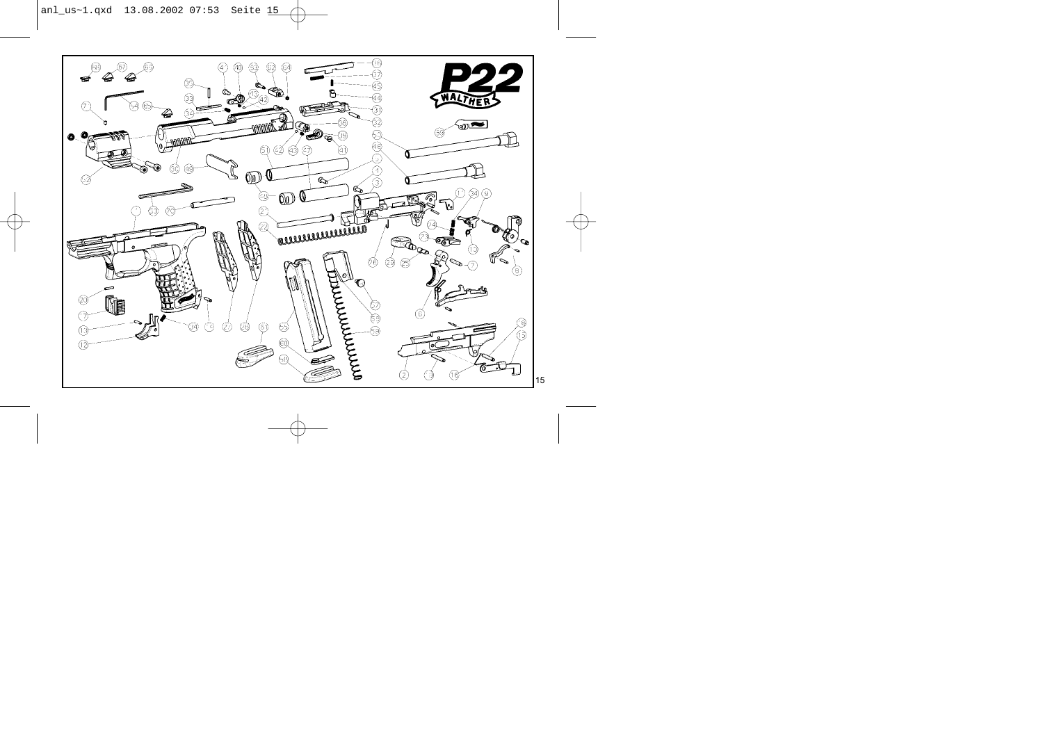anl\_us~1.qxd 13.08.2002 07:53 Seite 15

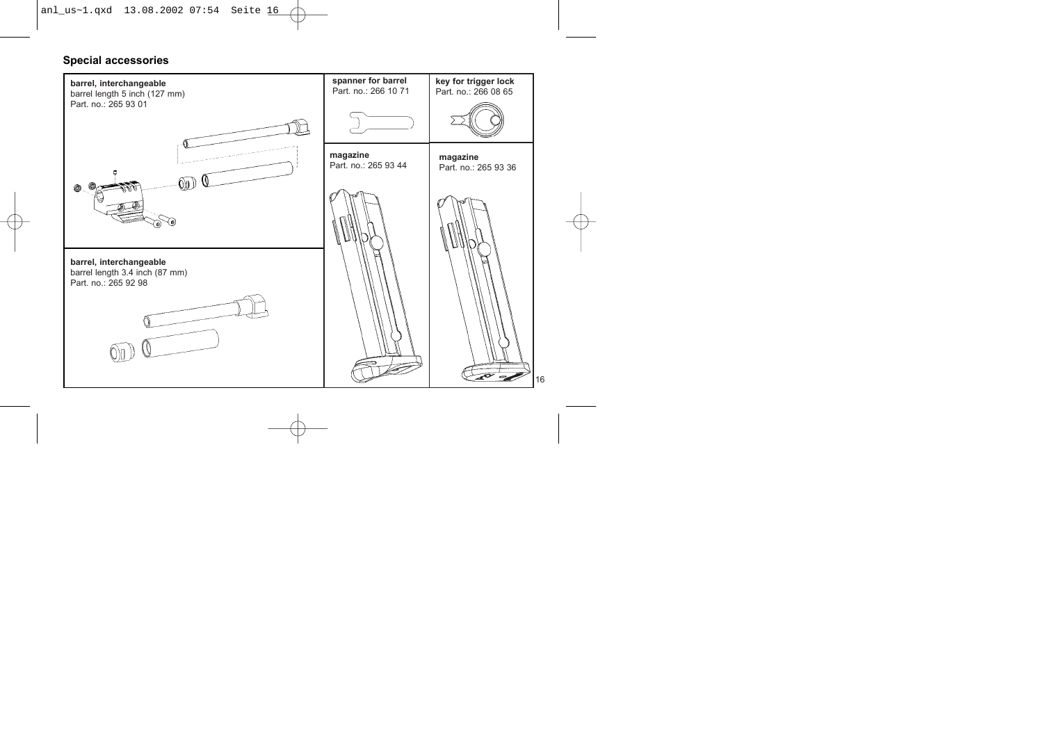anl\_us~1.qxd 13.08.2002 07:54 Seite 16

#### **Special accessories**